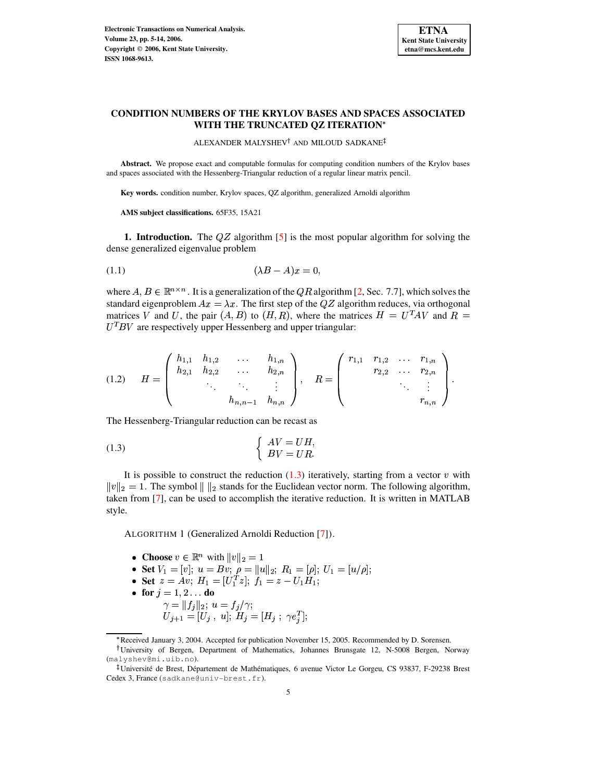

# **CONDITION NUMBERS OF THE KRYLOV BASES AND SPACES ASSOCIATED WITH THE TRUNCATED QZ ITERATION**

 $\,$ ALEXANDER MALYSHEV $^\dagger$  and MILOUD SADKANE

**Abstract.** We propose exact and computable formulas for computing condition numbers of the Krylov bases and spaces associated with the Hessenberg-Triangular reduction of a regular linear matrix pencil.

**Key words.** condition number, Krylov spaces, QZ algorithm, generalized Arnoldi algorithm

**AMS subject classifications.** 65F35, 15A21

**1. Introduction.** The  $QZ$  algorithm [\[5\]](#page-9-0) is the most popular algorithm for solving the dense generalized eigenvalue problem

<span id="page-0-2"></span>
$$
(1.1)\qquad \qquad (\lambda B - A)x = 0,
$$

where  $A, B \in \mathbb{R}^{n \times n}$ . It is a generalization of the QR algorithm [\[2,](#page-9-1) Sec. 7.7], which solves the standard eigenproblem  $Ax = \lambda x$ . The first step of the QZ algorithm reduces, via orthogonal matrices V and U, the pair  $(A, B)$  to  $(H, R)$ , where the matrices  $H = U<sup>T</sup>AV$  and  $R =$  $U<sup>T</sup>BV$  are respectively upper Hessenberg and upper triangular:

$$
(1.2) \tH = \begin{pmatrix} h_{1,1} & h_{1,2} & \dots & h_{1,n} \\ h_{2,1} & h_{2,2} & \dots & h_{2,n} \\ & \ddots & \ddots & \vdots \\ & & h_{n,n-1} & h_{n,n} \end{pmatrix}, \tR = \begin{pmatrix} r_{1,1} & r_{1,2} & \dots & r_{1,n} \\ & r_{2,2} & \dots & r_{2,n} \\ & \ddots & \vdots \\ & & & r_{n,n} \end{pmatrix}.
$$

The Hessenberg-Triangular reduction can be recast as

<span id="page-0-0"></span>
$$
(1.3) \qquad \qquad \begin{cases} AV = UH, \\ BV = UR. \end{cases}
$$

<span id="page-0-1"></span>It is possible to construct the reduction  $(1.3)$  iteratively, starting from a vector v with  $||v||_2 = 1$ . The symbol  $||u||_2$  stands for the Euclidean vector norm. The following algorithm, taken from [\[7\]](#page-9-2), can be used to accomplish the iterative reduction. It is written in MATLAB style.

ALGORITHM 1 (Generalized Arnoldi Reduction [\[7\]](#page-9-2)).

- Choose  $v \in \mathbb{R}^n$  with  $||v||_2 = 1$
- Set  $V_1 = [v]$ ;  $u = Bv$ ;  $\rho = ||u||_2$ ;  $R_1 = [\rho]$ ;  $U_1 = [u/\rho]$ ;
- Set  $z = Av$ ;  $H_1 = [U_1^T z]$ ;  $f_1 = z U_1 H_1$ ;
- for  $j=1,2...$  do
	- $\gamma = \|f_j\|_2; u = f_j/\gamma;$ <br>  $U_{j+1} = [U_j, u]; H_j = [H_j; \gamma e_j^T];$

<sup>m</sup> Received January 3, 2004. Accepted for publication November 15, 2005. Recommended by D. Sorensen.

University of Bergen, Department of Mathematics, Johannes Brunsgate 12, N-5008 Bergen, Norway (malyshev@mi.uib.no).

<sup>&</sup>lt;sup>‡</sup>Université de Brest, Département de Mathématiques, 6 avenue Victor Le Gorgeu, CS 93837, F-29238 Brest Cedex 3, France (sadkane@univ-brest.fr).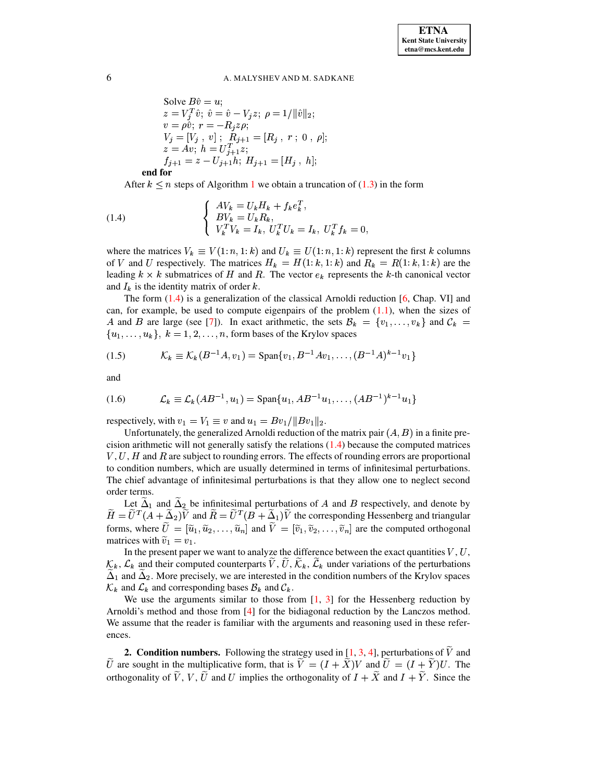Solve 
$$
B\hat{v} = u
$$
;  
\n $z = V_j^T \hat{v}$ ;  $\hat{v} = \hat{v} - V_j z$ ;  $\rho = 1/||\hat{v}||_2$ ;  
\n $v = \rho \hat{v}$ ;  $r = -R_j z \rho$ ;  
\n $V_j = [V_j, v]$ ;  $R_{j+1} = [R_j, r; 0, \rho]$ ;  
\n $z = Av$ ;  $h = U_{j+1}^T z$ ;  
\n $f_{j+1} = z - U_{j+1}h$ ;  $H_{j+1} = [H_j, h]$ ;

**end for**

After  $k \le n$  steps of Algorithm [1](#page-0-1) we obtain a truncation of [\(1.3\)](#page-0-0) in the form

<span id="page-1-0"></span>(1.4) 
$$
\begin{cases} AV_k = U_k H_k + f_k e_k^T, \\ BV_k = U_k R_k, \\ V_k^T V_k = I_k, \ U_k^T U_k = I_k, \ U_k^T f_k = 0, \end{cases}
$$

where the matrices  $V_k \equiv V(1:n, 1:k)$  and  $U_k \equiv U(1:n, 1:k)$  represent the first k columns of V and U respectively. The matrices  $H_k = H(1:k, 1:k)$  and  $R_k = R(1:k, 1:k)$  are the leading  $k \times k$  submatrices of H and R. The vector  $e_k$  represents the k-th canonical vector and  $I_k$  is the identity matrix of order  $k$ .

The form  $(1.4)$  is a generalization of the classical Arnoldi reduction  $[6, Chap. VI]$  $[6, Chap. VI]$  and can, for example, be used to compute eigenpairs of the problem  $(1.1)$ , when the sizes of A and B are large (see [\[7\]](#page-9-2)). In exact arithmetic, the sets  $\mathcal{B}_k = \{v_1, \ldots, v_k\}$  and  $\mathcal{C}_k =$  $\{u_1, \ldots, u_k\},\; k = 1, 2, \ldots, n$ , form bases of the Krylov spaces

$$
(1.5) \t\t\t\mathcal{K}_k \equiv \mathcal{K}_k(B^{-1}A, v_1) = \text{Span}\{v_1, B^{-1}Av_1, \dots, (B^{-1}A)^{k-1}v_1\}
$$

and

$$
(1.6) \qquad \mathcal{L}_k \equiv \mathcal{L}_k(AB^{-1}, u_1) = \text{Span}\{u_1, AB^{-1}u_1, \dots, (AB^{-1})^{k-1}u_1\}
$$

respectively, with  $v_1 = V_1 \equiv v$  and  $u_1 = Bv_1/||Bv_1||_2$ .

Unfortunately, the generalized Arnoldi reduction of the matrix pair  $(A, B)$  in a finite precision arithmetic will not generally satisfy the relations [\(1.4\)](#page-1-0) because the computed matrices  $V, U, H$  and  $R$  are subject to rounding errors. The effects of rounding errors are proportional to condition numbers, which are usually determined in terms of infinitesimal perturbations. The chief advantage of infinitesimal perturbations is that they allow one to neglect second order terms.

Let  $\Delta_1$  and  $\Delta_2$  be infinitesimal perturbations of A and B respectively, and denote by  $H = U^T (A + \Delta_2) V$  and  $R = U^T (B + \Delta_1) V$  the corresponding Hessenberg and triangular forms, where  $U = [\tilde{u}_1, \tilde{u}_2, \dots, \tilde{u}_n]$  and  $V = [\tilde{v}_1, \tilde{v}_2, \dots, \tilde{v}_n]$  are the computed orthogonal matrices with  $\tilde{v}_1 = v_1$ .

In the present paper we want to analyze the difference between the exact quantities  $V, U,$ <br> $\mathcal{L}_k$  and their computed counterparts  $\widetilde{V}, \widetilde{U}, \widetilde{K}_k, \widetilde{\mathcal{L}}_k$  under variations of the perturbations . . . . . . In the present paper we want to analyze the difference between the exact quantities  $V, U,$ <br> $k, \mathcal{L}_k$  and their computed counterparts  $\tilde{V}, \tilde{U}, \tilde{K}_k, \tilde{L}_k$  under variations of the perturbations  $\tilde{\Delta}_1$  and  $\tilde{\Delta}_2$ . More precisely, we are interested in the condition numbers of the Krylov spaces  $\mathcal{K}_k$  and  $\mathcal{L}_k$  and corresponding bases  $\mathcal{B}_k$  and  $\mathcal{C}_k$ .  $\mathcal{K}_k$  and  $\mathcal{L}_k$  and corresponding bases  $\mathcal{B}_k$  and  $\mathcal{C}_k$ .

We use the arguments similar to those from  $[1, 3]$  $[1, 3]$  $[1, 3]$  for the Hessenberg reduction by Arnoldi's method and those from [\[4\]](#page-9-6) for the bidiagonal reduction by the Lanczos method. We assume that the reader is familiar with the arguments and reasoning used in these references.

**2. Condition numbers.** Following the strategy used in [\[1,](#page-9-4) [3,](#page-9-5) [4\]](#page-9-6), perturbations of  $\tilde{V}$  and  $\tilde{U}$  are sought in the multiplicative form, that is  $\tilde{V} = (I + \tilde{X})V$  and  $\tilde{U} = (I + \tilde{Y})U$ . The orthogonality of V, V, U and U implies the orthogonality of  $I + X$  and  $I + Y$ . Since the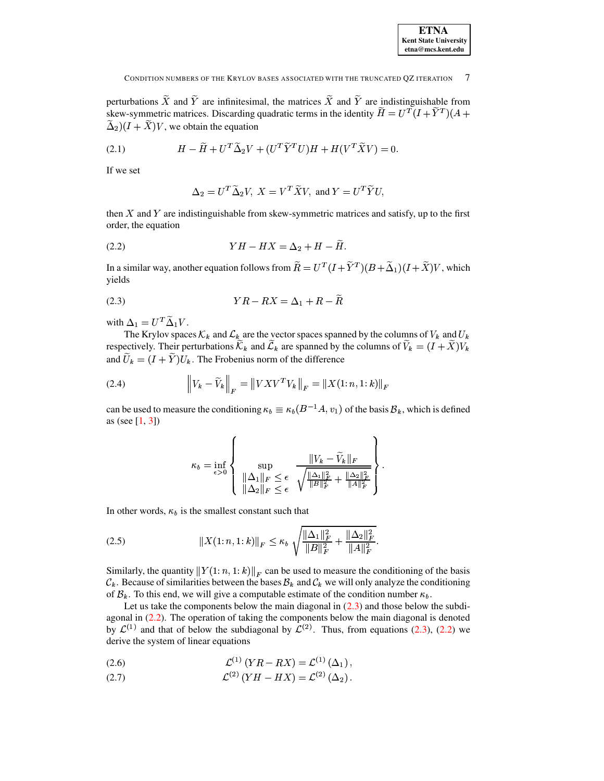CONDITION NUMBERS OF THE KRYLOV BASES ASSOCIATED WITH THE TRUNCATED OZ ITERATION 7

perturbations X and Y are infinitesimal, the matrices X and Y are indistinguishable from skew-symmetric matrices. Discarding quadratic terms in the identity  $H = U^T(I+Y^T)(A+Y^T)$  $\widetilde{\Delta}_2$   $(I + \widetilde{X})V$ , we obtain the equation

(2.1) 
$$
H - \widetilde{H} + U^T \widetilde{\Delta}_2 V + (U^T \widetilde{Y}^T U) H + H(V^T \widetilde{X} V) = 0.
$$

If we set

$$
\Delta_2=U^T\widetilde{\Delta}_2 V, \ X=V^T\widetilde{X}V, \ \text{and} \ Y=U^T\widetilde{Y}U,
$$

then X and Y are indistinguishable from skew-symmetric matrices and satisfy, up to the first order, the equation

<span id="page-2-1"></span>-- = { - -> (2.2)

In a similar way, another equation follows from  $R = U^T (I + Y^T) (B + \Delta_1) (I + X) V$ , which yields

<span id="page-2-0"></span>
$$
(2.3) \t YR - RX = \Delta_1 + R - \widetilde{R}
$$

with  $\Delta_1 = U^T \widetilde{\Delta}_1 V$ .

 $\Delta_1 = U^T \widetilde{\Delta}_1 V$ .<br>The Krylov spaces  $\mathcal{K}_k$  and  $\mathcal{L}_k$  are the vector spaces spanned by the columns of  $V_k$  and  $U_k$ The Krylov spaces  $\mathcal{K}_k$  and  $\mathcal{L}_k$  are the vector spaces spanned by the columns of  $V_k$  and  $U_k$  respectively. Their perturbations  $\widetilde{\mathcal{K}}_k$  and  $\widetilde{\mathcal{L}}_k$  are spanned by the columns of  $\widetilde{V}_k = (I + \widetilde{X$ and  $\widetilde{U}_k = (I + \widetilde{Y})U_k$ . The Frobenius norm of the difference

(2.4) 
$$
\left\| V_k - \widetilde{V}_k \right\|_F = \left\| V X V^T V_k \right\|_F = \left\| X (1:n, 1:k) \right\|_F
$$

can be used to measure the conditioning  $\kappa_b \equiv \kappa_b (B^{-1}A, v_1)$  of the basis  $\mathcal{B}_k$ , which is defined as (see  $[1, 3]$  $[1, 3]$  $[1, 3]$ )

$$
\kappa_b = \inf_{\epsilon > 0} \left\{ \sup_{\begin{subarray}{c} ||\Delta_1||_F \leq \epsilon \\ ||\Delta_2||_F \leq \epsilon \end{subarray}} \frac{\|V_k - \widetilde{V}_k\|_F}{\sqrt{\frac{\|\Delta_1\|_F^2}{\|B\|_F^2} + \frac{\|\Delta_2\|_F^2}{\|A\|_F^2}}} \right\}.
$$

In other words,  $\kappa_b$  is the smallest constant such that

$$
(2.5) \t\t\t ||X(1:n,1:k)||_F \leq \kappa_b \sqrt{\frac{\|\Delta_1\|_F^2}{\|B\|_F^2} + \frac{\|\Delta_2\|_F^2}{\|A\|_F^2}}.
$$

Similarly, the quantity  $||Y(1:n, 1:k)||_F$  can be used to measure the conditioning of the basis  $\mathcal{C}_k$ . Because of similarities between the bases  $\mathcal{B}_k$  and  $\mathcal{C}_k$  we will only analyze the conditioning of  $\mathcal{B}_k$ . To this end, we will give a computable estimate of the condition number  $\kappa_b$ .

Let us take the components below the main diagonal in  $(2.3)$  and those below the subdiagonal in  $(2.2)$ . The operation of taking the components below the main diagonal is denoted agonal in [\(2.2\)](#page-2-1). The operation of taking the components below the main diagonal is denoted<br>by  $\mathcal{L}^{(1)}$  and that of below the subdiagonal by  $\mathcal{L}^{(2)}$ . Thus, from equations [\(2.3\)](#page-2-0), (2.2) we derive the system of linear equations

(2.6) 
$$
\mathcal{L}^{(1)}(YR - RX) = \mathcal{L}^{(1)}(\Delta_1),
$$

(2.7) 
$$
\mathcal{L}^{(2)} (YH - HX) = \mathcal{L}^{(2)} (\Delta_2).
$$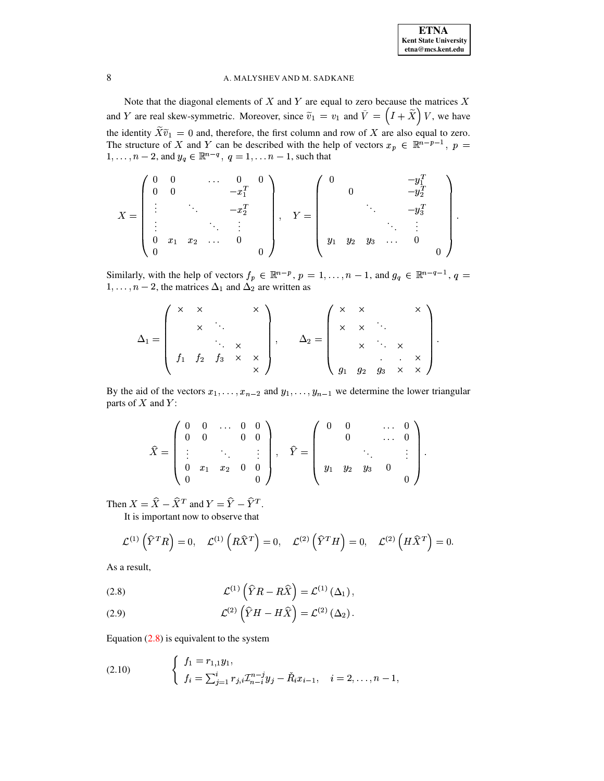Note that the diagonal elements of  $X$  and  $Y$  are equal to zero because the matrices  $X$ and Y are real skew-symmetric. Moreover, since  $\tilde{v}_1 = v_1$  and  $\tilde{V} = (I + \tilde{X})V$ , we have the identity  $\widetilde{X}\widetilde{v}_1 = 0$  and, therefore, the first column and row of X are also equal to zero.<br>The structure of X and Y can be described with the help of vectors  $x_p \in \mathbb{R}^{n-p-1}$ ,  $p =$  $1, \ldots, n-2$ , and  $y_q \in \mathbb{R}^{n-q}$ ,  $q = 1, \ldots, n-1$ , such that

$$
X = \begin{pmatrix} 0 & 0 & & \dots & 0 & 0 \\ 0 & 0 & & & -x_1^T \\ \vdots & & \ddots & & & -x_2^T \\ \vdots & & & \ddots & \vdots \\ 0 & x_1 & x_2 & \dots & 0 \\ 0 & & & & & 0 \end{pmatrix}, \quad Y = \begin{pmatrix} 0 & & & & -y_1^T \\ & 0 & & & & -y_2^T \\ & & \ddots & & & -y_3^T \\ & & & & \ddots & \vdots \\ y_1 & y_2 & y_3 & \dots & 0 \\ & & & & & 0 \end{pmatrix}.
$$

Similarly, with the help of vectors  $f_p \in \mathbb{R}^{n-p}$ ,  $p = 1, ..., n-1$ , and  $g_q \in \mathbb{R}^{n-q-1}$ ,  $q =$  $1, \ldots, n-2$ , the matrices  $\Delta_1$  and  $\Delta_2$  are written as

$$
\Delta_1 = \left(\begin{array}{cccc} \times & \times & & \times \\ & \times & \ddots & \\ & & \ddots & \times \\ & & f_1 & f_2 & f_3 & \times & \times \\ & & & \times & \end{array}\right), \quad \Delta_2 = \left(\begin{array}{cccc} \times & \times & & \times \\ & \times & \times & & \ddots \\ & & \times & \ddots & \times \\ & & & \ddots & \times \\ & & & & \ddots & \times \\ g_1 & g_2 & g_3 & \times & \times \end{array}\right).
$$

By the aid of the vectors  $x_1, \ldots, x_{n-2}$  and  $y_1, \ldots, y_{n-1}$  we determine the lower triangular parts of  $X$  and  $Y$ :

$$
\widehat{X} = \left( \begin{array}{cccc} 0 & 0 & \ldots & 0 & 0 \\ 0 & 0 & & & 0 \\ \vdots & & \ddots & & \vdots \\ 0 & x_1 & x_2 & 0 & 0 \\ 0 & & & & 0 \end{array} \right), \quad \widehat{Y} = \left( \begin{array}{cccc} 0 & 0 & & \ldots & 0 \\ 0 & & & \ldots & 0 \\ & & \ddots & & \vdots \\ y_1 & y_2 & y_3 & 0 & 0 \end{array} \right).
$$

Then  $X = \hat{X} - \hat{X}^T$  and  $Y = \hat{Y} - \hat{Y}^T$ .

It is important now to observe that

$$
\mathcal{L}^{(1)}\left(\widehat{Y}^T R\right) = 0, \quad \mathcal{L}^{(1)}\left(R\widehat{X}^T\right) = 0, \quad \mathcal{L}^{(2)}\left(\widehat{Y}^T H\right) = 0, \quad \mathcal{L}^{(2)}\left(H\widehat{X}^T\right) = 0.
$$

As a result,

<span id="page-3-0"></span>(2.8) 
$$
\mathcal{L}^{(1)}\left(\widehat{Y}R - R\widehat{X}\right) = \mathcal{L}^{(1)}\left(\Delta_1\right),
$$

(2.9) 
$$
\mathcal{L}^{(2)}\left(\hat{Y}H - H\hat{X}\right) = \mathcal{L}^{(2)}\left(\Delta_2\right)
$$

Equation  $(2.8)$  is equivalent to the system

(2.10) 
$$
\begin{cases} f_1 = r_{1,1}y_1, \\ f_i = \sum_{j=1}^i r_{j,i} \mathcal{I}_{n-i}^{n-j} y_j - \check{R}_i x_{i-1}, \quad i = 2, \ldots, n-1, \end{cases}
$$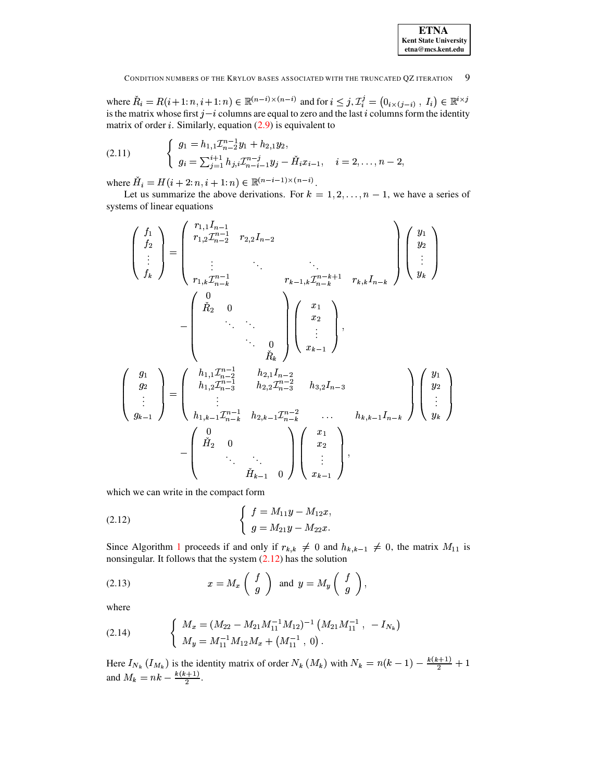| <b>ETNA</b>                  |
|------------------------------|
| <b>Kent State University</b> |
| etna@mcs.kent.edu            |

#### - 9 CONDITION NUMBERS OF THE KRYLOV BASES ASSOCIATED WITH THE TRUNCATED OZ ITERATION

where  $\check{R}_i = R(i+1:n, i+1:n) \in \mathbb{R}^{(n-i)\times (n-i)}$  and for  $i \leq j$ ,  $\mathcal{I}_i^j = (0_{i \times (j-i)}, I_i) \in \mathbb{R}^{i \times j}$ is the matrix whose first  $j-i$  columns are equal to zero and the last i columns form the identity matrix of order *i*. Similarly, equation  $(2.9)$  is equivalent to

$$
(2.11) \qquad \begin{cases} \begin{array}{l} g_1 = h_{1,1} \mathcal{I}_{n-2}^{n-1} y_1 + h_{2,1} y_2, \\ g_i = \sum_{j=1}^{i+1} h_{j,i} \mathcal{I}_{n-i-1}^{n-j} y_j - \check{H}_i x_{i-1}, \quad i = 2, \dots, n-2, \end{array} \end{cases}
$$

where  $\check{H}_i = H(i + 2; n, i + 1; n) \in \mathbb{R}^{(n-i-1)\times (n-i)}$ .

Let us summarize the above derivations. For  $k = 1, 2, ..., n - 1$ , we have a series of systems of linear equations

$$
\begin{pmatrix}\nf_1 \\
f_2 \\
\vdots \\
f_k\n\end{pmatrix} = \begin{pmatrix}\nr_{1,1}I_{n-1} & r_{2,2}I_{n-2} & & \\
r_{1,2}T_{n-2}^{n-1} & r_{2,2}I_{n-2} & & \\
\vdots & \ddots & \ddots & \ddots & \\
r_{1,k}T_{n-k}^{n-1} & & r_{k-1,k}T_{n-k}^{n-k+1} & r_{k,k}I_{n-k}\n\end{pmatrix}\n\begin{pmatrix}\ny_1 \\
y_2 \\
\vdots \\
y_k\n\end{pmatrix}
$$
\n
$$
-\begin{pmatrix}\n0 & & & \\
h_2 & 0 & & \\
\vdots & \ddots & \ddots & \\
h_3 & 0 & & \\
\vdots & \ddots & \ddots & \\
g_2 & \vdots & \ddots & \\
g_3 & \vdots & \ddots & \\
g_{k-1} & \vdots & \ddots & \\
g_{k-1} & \vdots & \ddots & \\
\vdots & \ddots & \ddots & \\
h_1 & \ddots & \ddots & \\
h_k & \ddots & \ddots & \\
\vdots & \ddots & \ddots & \\
h_k & \ddots & \ddots & \\
\vdots & \ddots & \ddots & \\
h_k & \ddots & \ddots & \\
h_k & \ddots & \ddots & \\
\vdots & \ddots & \ddots & \\
h_k & \ddots & \ddots & \\
\end{pmatrix}\n\begin{pmatrix}\nx_1 \\
x_2 \\
\vdots \\
x_{k-1}\n\end{pmatrix},
$$

which we can write in the compact form

<span id="page-4-0"></span>(2.12) 
$$
\begin{cases} f = M_{11}y - M_{12}x, \\ g = M_{21}y - M_{22}x. \end{cases}
$$

Since Algorithm 1 proceeds if and only if  $r_{k,k} \neq 0$  and  $h_{k,k-1} \neq 0$ , the matrix  $M_{11}$  is nonsingular. It follows that the system  $(2.12)$  has the solution

<span id="page-4-1"></span>(2.13) 
$$
x = M_x \begin{pmatrix} f \\ g \end{pmatrix} \text{ and } y = M_y \begin{pmatrix} f \\ g \end{pmatrix}.
$$

where

(2.14) 
$$
\begin{cases} M_x = (M_{22} - M_{21}M_{11}^{-1}M_{12})^{-1} (M_{21}M_{11}^{-1}, -I_{N_k}) \\ M_y = M_{11}^{-1}M_{12}M_x + (M_{11}^{-1}, 0). \end{cases}
$$

Here  $I_{N_k}$   $(I_{M_k})$  is the identity matrix of order  $N_k$   $(M_k)$  with  $N_k = n(k-1) - \frac{k(k+1)}{2} + 1$ and  $M_k = nk - \frac{k(k+1)}{2}$ .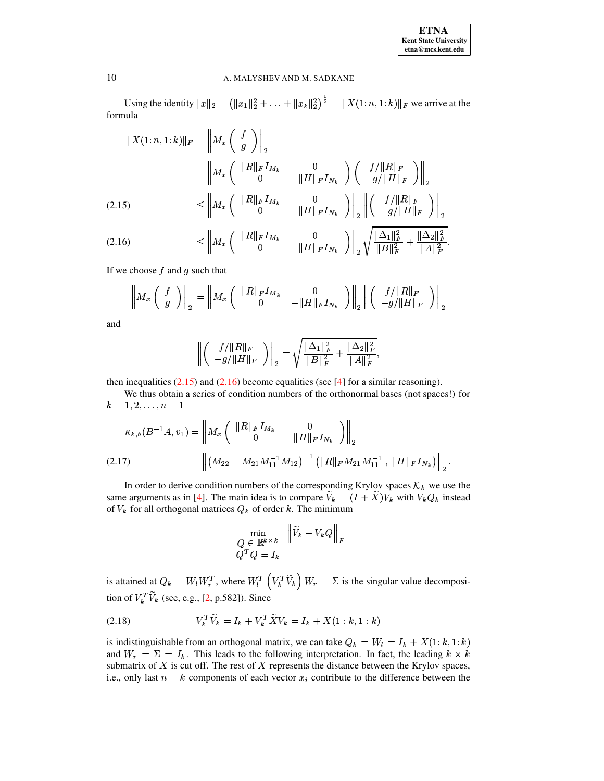| <b>ETNA</b>                  |  |  |  |  |
|------------------------------|--|--|--|--|
| <b>Kent State University</b> |  |  |  |  |
| etna@mcs.kent.edu            |  |  |  |  |

Using the identity  $||x||_2 = (||x_1||_2^2 + ... + ||x_k||_2^2)^{\frac{1}{2}} = ||X(1:n, 1:k)||_F$  we arrive at the formula

<span id="page-5-0"></span>
$$
||X(1:n,1:k)||_F = \left\| M_x \begin{pmatrix} f \\ g \end{pmatrix} \right\|_2
$$
  
=  $\left\| M_x \begin{pmatrix} ||R||_F I_{M_k} & 0 \\ 0 & -||H||_F I_{N_k} \end{pmatrix} \begin{pmatrix} f/||R||_F \\ -g/||H||_F \end{pmatrix} \right\|_2$   
(2.15)  $\leq \left\| M_x \begin{pmatrix} ||R||_F I_{M_k} & 0 \\ 0 & -||H||_F I_{N_k} \end{pmatrix} \right\|_2 \left\| \begin{pmatrix} f/||R||_F \\ -g/||H||_F \end{pmatrix} \right\|_2$ 

$$
(2.16) \t\t\t \leq \left\| M_x \left( \begin{array}{cc} \|R\|_F I_{M_k} & 0 \\ 0 & -\|H\|_F I_{N_k} \end{array} \right) \right\|_2 \sqrt{\frac{\|\Delta_1\|_F^2}{\|B\|_F^2} + \frac{\|\Delta_2\|_F^2}{\|A\|_F^2}}.
$$

If we choose  $f$  and  $g$  such that

$$
\left\| M_x \left( \begin{array}{c} f \\ g \end{array} \right) \right\|_2 = \left\| M_x \left( \begin{array}{cc} \|R\|_F I_{M_k} & 0 \\ 0 & -\|H\|_F I_{N_k} \end{array} \right) \right\|_2 \left\| \left( \begin{array}{c} f/\|R\|_F \\ -g/\|H\|_F \end{array} \right) \right\|_2
$$

and

$$
\left(\begin{array}{c} f/||R||_F \\ -g/||H||_F \end{array}\right)\bigg\|_2 = \sqrt{\frac{\|\Delta_1\|_F^2}{\|B\|_F^2} + \frac{\|\Delta_2\|_F^2}{\|A\|_F^2}},
$$

then inequalities  $(2.15)$  and  $(2.16)$  become equalities (see [4] for a similar reasoning).

We thus obtain a series of condition numbers of the orthonormal bases (not spaces!) for  $k = 1, 2, \ldots, n - 1$ 

<span id="page-5-1"></span>
$$
\kappa_{k,b}(B^{-1}A, v_1) = \left\| M_x \begin{pmatrix} \|R\|_F I_{M_k} & 0\\ 0 & -\|H\|_F I_{N_k} \end{pmatrix} \right\|_2
$$
  
(2.17) 
$$
= \left\| \left(M_{22} - M_{21} M_{11}^{-1} M_{12}\right)^{-1} \left(\|R\|_F M_{21} M_{11}^{-1}, \|H\|_F I_{N_k}\right) \right\|_2
$$

In order to derive condition numbers of the corresponding Krylov spaces  $\mathcal{K}_k$  we use the same arguments as in [4]. The main idea is to compare  $V_k = (I + X)V_k$  with  $V_k Q_k$  instead of  $V_k$  for all orthogonal matrices  $Q_k$  of order k. The minimum

$$
\min_{\substack{Q \in \mathbb{R}^{k \times k} \\ Q^T Q = I_k}} \left\| \widetilde{V}_k - V_k Q \right\|_F
$$

is attained at  $Q_k = W_l W_r^T$ , where  $W_l^T (V_k^T \widetilde{V}_k) W_r = \Sigma$  is the singular value decomposition of  $V_k^T \widetilde{V}_k$  (see, e.g., [2, p.582]). Since

(2.18) 
$$
V_k^T \widetilde{V}_k = I_k + V_k^T \widetilde{X} V_k = I_k + X(1:k,1:k)
$$

is indistinguishable from an orthogonal matrix, we can take  $Q_k = W_l = I_k + X(1:k, 1:k)$ and  $W_r = \Sigma = I_k$ . This leads to the following interpretation. In fact, the leading  $k \times k$ submatrix of  $X$  is cut off. The rest of  $X$  represents the distance between the Krylov spaces, i.e., only last  $n - k$  components of each vector  $x_i$  contribute to the difference between the

10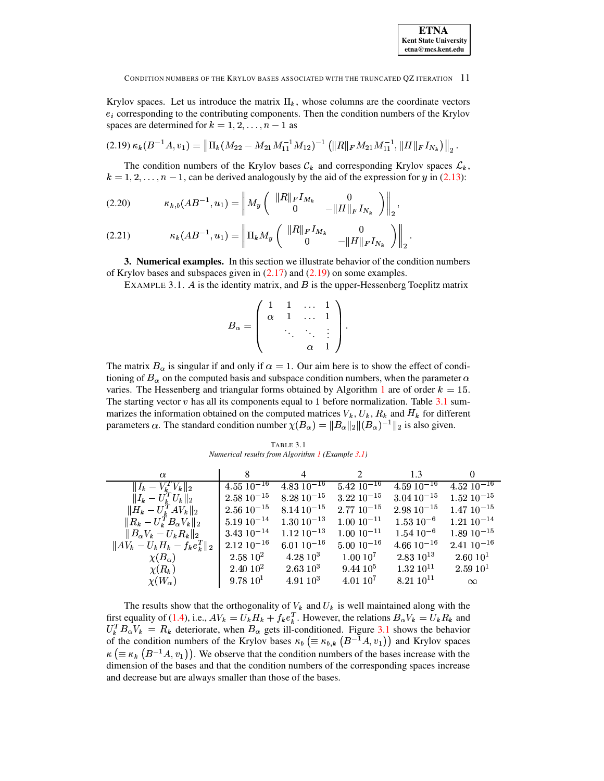Krylov spaces. Let us introduce the matrix  $\Pi_k$ , whose columns are the coordinate vectors  $e_i$  corresponding to the contributing components. Then the condition numbers of the Krylov spaces are determined for  $k = 1, 2, ..., n - 1$  as

<span id="page-6-0"></span>
$$
(2.19) \ \kappa_k(B^{-1}A,v_1) = \left\|\Pi_k(M_{22}-M_{21}M_{11}^{-1}M_{12})^{-1} \left(\|R\|_F M_{21}M_{11}^{-1},\|H\|_F I_{N_k}\right)\right\|_2.
$$

The condition numbers of the Krylov bases  $\mathcal{C}_k$  and corresponding Krylov spaces  $\mathcal{L}_k$ ,  $k = 1, 2, ..., n - 1$ , can be derived analogously by the aid of the expression for y in (2.13):

$$
(2.20) \t\t \t\t \kappa_{k,b}(AB^{-1}, u_1) = \left\| M_y \left( \begin{array}{cc} \|R\|_F I_{M_k} & 0 \\ 0 & -\|H\|_F I_{N_k} \end{array} \right) \right\|_2,
$$

(2.21) 
$$
\kappa_k(AB^{-1}, u_1) = \left\| \Pi_k M_y \begin{pmatrix} \|R\|_F I_{M_k} & 0 \\ 0 & -\|H\|_F I_{N_k} \end{pmatrix} \right\|_2
$$

<span id="page-6-2"></span>**3. Numerical examples.** In this section we illustrate behavior of the condition numbers of Krylov bases and subspaces given in  $(2.17)$  and  $(2.19)$  on some examples.

EXAMPLE 3.1.  $\hat{A}$  is the identity matrix, and  $\hat{B}$  is the upper-Hessenberg Toeplitz matrix

$$
B_{\alpha} = \left( \begin{array}{cccc} 1 & 1 & \dots & 1 \\ \alpha & 1 & \dots & 1 \\ & \ddots & \ddots & \vdots \\ & & \alpha & 1 \end{array} \right).
$$

The matrix  $B_{\alpha}$  is singular if and only if  $\alpha = 1$ . Our aim here is to show the effect of conditioning of  $B_\alpha$  on the computed basis and subspace condition numbers, when the parameter  $\alpha$ varies. The Hessenberg and triangular forms obtained by Algorithm 1 are of order  $k = 15$ . The starting vector  $v$  has all its components equal to 1 before normalization. Table 3.1 summarizes the information obtained on the computed matrices  $V_k$ ,  $U_k$ ,  $R_k$  and  $H_k$  for different parameters  $\alpha$ . The standard condition number  $\chi(B_{\alpha}) = ||B_{\alpha}||_2 ||(B_{\alpha})^{-1}||_2$  is also given.

| TABLE 3.1                                        |
|--------------------------------------------------|
| Numerical results from Algorithm 1 (Example 3.1) |

<span id="page-6-1"></span>

| $\alpha$                                                                            | 8                          | 4                          | 2                   | 1.3              | $\Omega$             |
|-------------------------------------------------------------------------------------|----------------------------|----------------------------|---------------------|------------------|----------------------|
| $  I_k - V_k^T V_k  _2$                                                             | $4.55 \overline{10^{-16}}$ | 4.83 $\overline{10^{-16}}$ | $5\;42\;10^{-16}$   | $4.5910^{-16}$   | $4.52\,10^{-16}$     |
| $  I_{k} - U_{k}^{T}U_{k}  _{2}$                                                    | $2.58\ 10^{-15}$           | $8.28\ 10^{-15}$           | $3.22\ 10^{-15}$    | $3.04\ 10^{-15}$ | $1.52\ 10^{-15}$     |
| $\ H_{\textit{\textbf{k}}}-U_{\textit{\textbf{k}}}^T A V_{\textit{\textbf{k}}}\ _2$ | $2.56\ 10^{-15}$           | $8.14\ 10^{-15}$           | $2.7710^{-15}$      | $2.9810^{-15}$   | $1.4710^{-15}$       |
| $  R_k - U_k^T B_\alpha V_k  _2$                                                    | $5.19\ 10^{-14}$           | $1.30\ 10^{-13}$           | $1.00 10^{-11}$     | $1.53\ 10^{-6}$  | $1.21\ 10^{-14}$     |
| $  B_{\alpha}V_k-U_kR_k  _2$                                                        | $3.43\ 10^{-14}$           | $1.12 \ 10^{-13}$          | $1.00 10^{-11}$     | $1.54\ 10^{-6}$  | $1.8910^{-15}$       |
| $  AV_k - U_k H_k - f_k e_k^T  _2$                                                  | $2.12 \ 10^{-16}$          | $6.0110^{-16}$             | $5.0010^{-16}$      | $4.66 10^{-16}$  | $2.4110^{-16}$       |
| $\chi(B_\alpha)$                                                                    | $2.58\;10^2$               | $4.28\ 10^3$               | $1.0010^{7}$        | $2.83\ 10^{13}$  | 2.60~10 <sup>1</sup> |
| $\chi(R_k)$                                                                         | $2.40\;10^2$               | $2.63~10^3$                | $9.4410^{5}$        | $1.32~10^{11}$   | 2.59~10 <sup>1</sup> |
| $\chi(W_{\alpha})$                                                                  | 9.78~10 <sup>1</sup>       | $4.91\,10^3$               | 4.0110 <sup>7</sup> | $8.2110^{11}$    | $\infty$             |

The results show that the orthogonality of  $V_k$  and  $U_k$  is well maintained along with the first equality of (1.4), i.e.,  $AV_k = U_k H_k + f_k e_k^T$ . However, the relations  $B_{\alpha} V_k = U_k R_k$  and  $U_k^T B_{\alpha} V_k = R_k$  deteriorate, when  $B_{\alpha}$  gets ill-conditioned. Figure 3.1 shows the behavior of the condition numbers of the Krylov bases  $\kappa_b$  ( $\equiv \kappa_{b,k}$  ( $B^{-1}A, v_1$ )) and Krylov spaces  $\kappa \ (\equiv \kappa_k \ (B^{-1}A, v_1)$ . We observe that the condition numbers of the bases increase with the dimension of the bases and that the condition numbers of the corresponding spaces increase and decrease but are always smaller than those of the bases.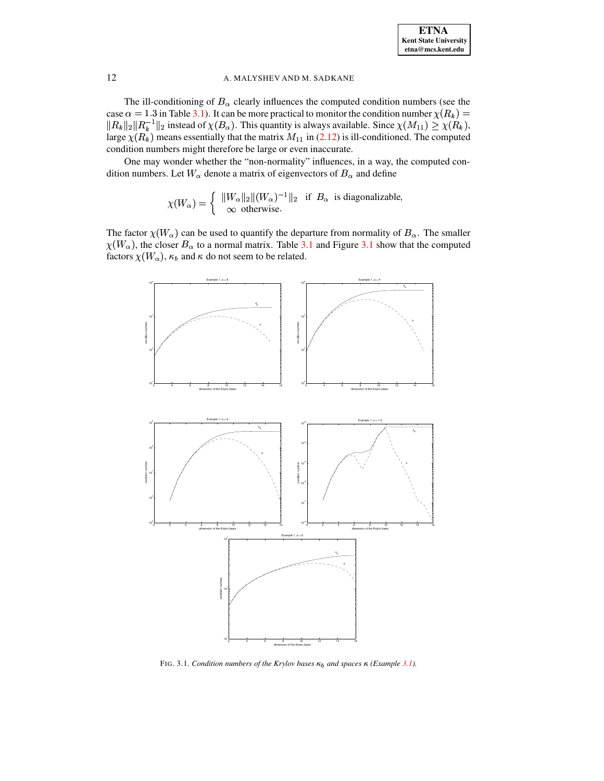The ill-conditioning of  $B_\alpha$  clearly influences the computed condition numbers (see the case  $\alpha = 1.3$  in Table [3.1\)](#page-6-1). It can be more practical to monitor the condition number  $\chi(R_k)$  =  $||R_{k}||_2||R_{k}^{-1}||_2$  instead of <sup>y</sup>  $\parallel_2$  instead of  $\chi(B_\alpha)$ . This quantity is always available. Since  $\chi(M_{11}) \geq \chi(R_k)$ , large  $\chi(R_k)$  means essentially that the matrix  $M_{11}$  in [\(2.12\)](#page-4-0) is ill-conditioned. The computed condition numbers might therefore be large or even inaccurate.

One may wonder whether the "non-normality" influences, in a way, the computed condition numbers. Let  $W_{\alpha}$  denote a matrix of eigenvectors of  $B_{\alpha}$  and define

$$
\chi(W_{\alpha}) = \begin{cases} ||W_{\alpha}||_2 ||(W_{\alpha})^{-1}||_2 & \text{if } B_{\alpha} \text{ is diagonalizable,} \\ \infty & \text{otherwise.} \end{cases}
$$

The factor  $\chi(W_\alpha)$  can be used to quantify the departure from normality of  $B_\alpha$ . The smaller  $\chi(W_\alpha)$ , the closer  $B_\alpha$  to a normal matrix. Table [3.1](#page-7-0) and Figure 3.1 show that the computed factors  $\chi(W_\alpha), \kappa_b$  and  $\kappa$  do not seem to be related.



<span id="page-7-0"></span>FIG. 3.1. *Condition numbers of the Krylov bases*  $\kappa_b$  *and spaces*  $\kappa$  *(Example [3.1\)](#page-6-2)*.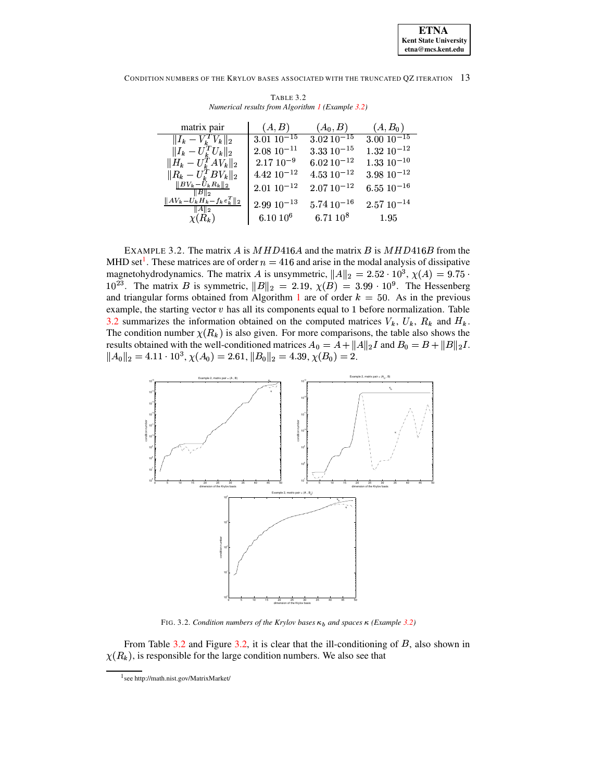CONDITION NUMBERS OF THE KRYLOV BASES ASSOCIATED WITH THE TRUNCATED OZ ITERATION 13

<span id="page-8-2"></span>

| matrix pair                               | (A, B)           | $(A_0, B)$       | $(A, B_0)$        |
|-------------------------------------------|------------------|------------------|-------------------|
| $  I_k - \bar{V}_k^T \overline{V_k}  _2$  | $3.01\,10^{-15}$ | $3.02\ 10^{-15}$ | $3.00\ 10^{-15}$  |
| $  I_k - U_k^T U_k  _2$                   | $2.08\ 10^{-11}$ | $3.33\ 10^{-15}$ | $1.32 \ 10^{-12}$ |
| $  H_{k} - U_{k}^{T}AV_{k}  _{2}$         | $2.17~10^{-9}$   | $6.02 10^{-12}$  | $1.33\ 10^{-10}$  |
| $  R_k - U_k^T B V_k  _2$                 | $4.42 10^{-12}$  | $4.53\ 10^{-12}$ | $3.98\ 10^{-12}$  |
| $  BV_k - U_k R_k  _2$<br>$  B  _2$       | $2.0110^{-12}$   | $2.07 10^{-12}$  | $6.55\ 10^{-16}$  |
| $  AV_k-U_kH_k-f_ke_k^T  _2$<br>$\ A\ _2$ | $2.99 10^{-13}$  | $5.74\,10^{-16}$ | $2.57 10^{-14}$   |
| $\chi(R_k)$                               | $6.10 10^6$      | $6.71~10^8$      | 1.95              |

TABLE 3.2 Numerical results from Algorithm 1 (Example 3.2)

<span id="page-8-0"></span>EXAMPLE 3.2. The matrix A is  $MHD416A$  and the matrix B is  $MHD416B$  from the MHD set<sup>1</sup>. These matrices are of order  $n = 416$  and arise in the modal analysis of dissipative magnetohydrodynamics. The matrix A is unsymmetric,  $||A||_2 = 2.52 \cdot 10^3$ ,  $\chi(A) = 9.75 \cdot$  $10^{23}$ . The matrix B is symmetric,  $||B||_2 = 2.19$ ,  $\chi(B) = 3.99 \cdot 10^9$ . The Hessenberg and triangular forms obtained from Algorithm 1 are of order  $k = 50$ . As in the previous example, the starting vector  $v$  has all its components equal to 1 before normalization. Table 3.2 summarizes the information obtained on the computed matrices  $V_k$ ,  $U_k$ ,  $R_k$  and  $H_k$ . The condition number  $\chi(R_k)$  is also given. For more comparisons, the table also shows the results obtained with the well-conditioned matrices  $A_0 = A + ||A||_2 I$  and  $B_0 = B + ||B||_2 I$ .  $||A_0||_2 = 4.11 \cdot 10^3$ ,  $\chi(A_0) = 2.61$ ,  $||B_0||_2 = 4.39$ ,  $\chi(B_0) = 2$ .



FIG. 3.2. Condition numbers of the Krylov bases  $\kappa_b$  and spaces  $\kappa$  (Example 3.2)

<span id="page-8-3"></span>From Table 3.2 and Figure 3.2, it is clear that the ill-conditioning of  $B$ , also shown in  $\chi(R_k)$ , is responsible for the large condition numbers. We also see that

<span id="page-8-1"></span> $1$  see http://math.nist.gov/MatrixMarket/